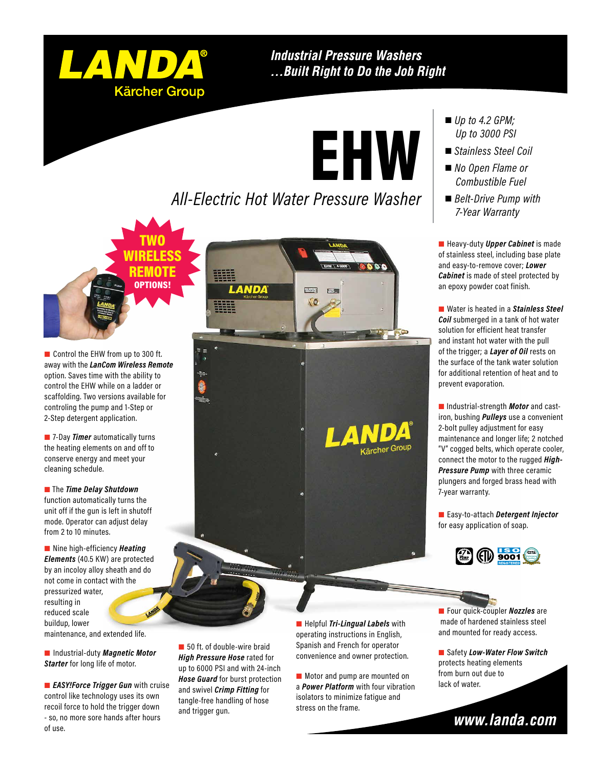

TWO WIRELESS REMOTE OPTIONS!

#### **Industrial Pressure Washers** ... Built Right to Do the Job Right

EHW

### *All-Electric Hot Water Pressure Washer*

Control the EHW from up to 300 ft. away with the *LanCom Wireless Remote*  option. Saves time with the ability to control the EHW while on a ladder or scaffolding. Two versions available for controling the pump and 1-Step or 2-Step detergent application.

**7-Day** *Timer* automatically turns the heating elements on and off to conserve energy and meet your cleaning schedule.

**The** *Time Delay Shutdown* function automatically turns the unit off if the gun is left in shutoff mode. Operator can adjust delay from 2 to 10 minutes.

■ Nine high-efficiency **Heating** *Elements* (40.5 KW) are protected by an incoloy alloy sheath and do not come in contact with the pressurized water, resulting in reduced scale buildup, lower

maintenance, and extended life.

**Starter** for long life of motor.

**EASY!Force Trigger Gun** with cruise control like technology uses its own recoil force to hold the trigger down - so, no more sore hands after hours of use.

AND/

ärcher Group

- *Up to 4.2 GPM; Up to 3000 PSI*
- *Stainless Steel Coil*
- *No Open Flame or Combustible Fuel*
- *Belt-Drive Pump with 7-Year Warranty*

**Heavy-duty Upper Cabinet** is made of stainless steel, including base plate and easy-to-remove cover; *Lower Cabinet* is made of steel protected by an epoxy powder coat finish.

■ Water is heated in a *Stainless Steel Coil* submerged in a tank of hot water solution for efficient heat transfer and instant hot water with the pull of the trigger; a *Layer of Oil* rests on the surface of the tank water solution for additional retention of heat and to prevent evaporation.

 Industrial-strength *Motor* and castiron, bushing *Pulleys* use a convenient 2-bolt pulley adjustment for easy maintenance and longer life; 2 notched "V" cogged belts, which operate cooler, connect the motor to the rugged *High-Pressure Pump* with three ceramic plungers and forged brass head with

 Easy-to-attach *Detergent Injector*  for easy application of soap.



■ 50 ft. of double-wire braid *High Pressure Hose* rated for up to 6000 PSI and with 24-inch *Hose Guard* for burst protection and swivel *Crimp Fitting* for tangle-free handling of hose and trigger gun.

 Helpful *Tri-Lingual Labels* with operating instructions in English, Spanish and French for operator **EXECUTE AND CONVERGED** Industrial-duty **Magnetic Motor High Pressure Hose** rated for **convenience and owner protection**.

> Motor and pump are mounted on a *Power Platform* with four vibration isolators to minimize fatigue and stress on the frame.

 Four quick-coupler *Nozzles* are made of hardened stainless steel and mounted for ready access.

■ Safety *Low-Water Flow Switch* protects heating elements from burn out due to lack of water.

www.landa.com